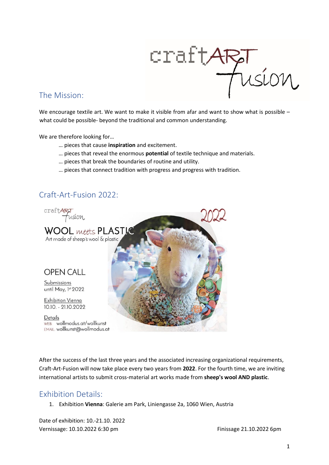

## The Mission:

We encourage textile art. We want to make it visible from afar and want to show what is possible – what could be possible- beyond the traditional and common understanding.

We are therefore looking for…

- … pieces that cause **inspiration** and excitement.
- … pieces that reveal the enormous **potential** of textile technique and materials.
- … pieces that break the boundaries of routine and utility.
- … pieces that connect tradition with progress and progress with tradition.

# Craft-Art-Fusion 2022:



After the success of the last three years and the associated increasing organizational requirements, Craft-Art-Fusion will now take place every two years from **2022**. For the fourth time, we are inviting international artists to submit cross-material art works made from **sheep's wool AND plastic**.

# Exhibition Details:

1. Exhibition **Vienna**: Galerie am Park, Liniengasse 2a, 1060 Wien, Austria

Date of exhibition: 10.-21.10. 2022 Vernissage: 10.10.2022 6:30 pm Finissage 21.10.2022 6pm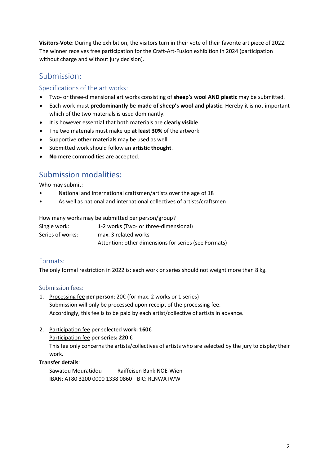**Visitors-Vote**: During the exhibition, the visitors turn in their vote of their favorite art piece of 2022. The winner receives free participation for the Craft-Art-Fusion exhibition in 2024 (participation without charge and without jury decision).

# Submission:

## Specifications of the art works:

- Two- or three-dimensional art works consisting of **sheep's wool AND plastic** may be submitted.
- Each work must **predominantly be made of sheep's wool and plastic**. Hereby it is not important which of the two materials is used dominantly.
- It is however essential that both materials are **clearly visible**.
- The two materials must make up **at least 30%** of the artwork.
- Supportive **other materials** may be used as well.
- Submitted work should follow an **artistic thought**.
- **No** mere commodities are accepted.

# Submission modalities:

Who may submit:

- National and international craftsmen/artists over the age of 18
- As well as national and international collectives of artists/craftsmen

How many works may be submitted per person/group?

| Single work:     | 1-2 works (Two- or three-dimensional)                |
|------------------|------------------------------------------------------|
| Series of works: | max. 3 related works                                 |
|                  | Attention: other dimensions for series (see Formats) |

## Formats:

The only formal restriction in 2022 is: each work or series should not weight more than 8 kg.

## Submission fees:

- 1. Processing fee **per person**: 20€ (for max. 2 works or 1 series) Submission will only be processed upon receipt of the processing fee. Accordingly, this fee is to be paid by each artist/collective of artists in advance.
- 2. Participation fee per selected **work: 160€**

#### Participation fee per **series: 220 €**

This fee only concerns the artists/collectives of artists who are selected by the jury to display their work.

## **Transfer details**:

Sawatou Mouratidou Raiffeisen Bank NOE-Wien IBAN: AT80 3200 0000 1338 0860 BIC: RLNWATWW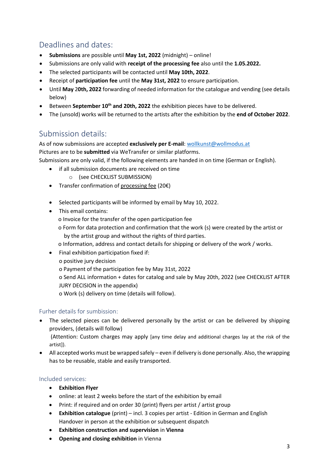# Deadlines and dates:

- **Submissions** are possible until **May 1st, 2022** (midnight) online!
- Submissions are only valid with **receipt of the processing fee** also until the **1.05.2022.**
- The selected participants will be contacted until **May 10th, 2022**.
- Receipt of **participation fee** until the **May 31st, 2022** to ensure participation.
- Until **May** 2**0th, 2022** forwarding of needed information for the catalogue and vending (see details below)
- Between **September 10 th and 20th, 2022** the exhibition pieces have to be delivered.
- The (unsold) works will be returned to the artists after the exhibition by the **end of October 2022**.

# Submission details:

As of now submissions are accepted **exclusively per E-mail**: [wollkunst@wollmodus.at](mailto:wollkunst@wollmodus.at)

Pictures are to be **submitted** via WeTransfer or similar platforms.

Submissions are only valid, if the following elements are handed in on time (German or English).

- if all submission documents are received on time
	- o (see CHECKLIST SUBMISSION)
- Transfer confirmation of processing fee (20€)
- Selected participants will be informed by email by May 10, 2022.
- This email contains:
	- o Invoice for the transfer of the open participation fee
	- o Form for data protection and confirmation that the work (s) were created by the artist or by the artist group and without the rights of third parties.

o Information, address and contact details for shipping or delivery of the work / works.

- Final exhibition participation fixed if:
	- o positive jury decision
	- o Payment of the participation fee by May 31st, 2022
	- o Send ALL information + dates for catalog and sale by May 20th, 2022 (see CHECKLIST AFTER JURY DECISION in the appendix)

o Work (s) delivery on time (details will follow).

## Furher details for sumbission:

- The selected pieces can be delivered personally by the artist or can be delivered by shipping providers, (details will follow) (Attention: Custom charges may apply [any time delay and additional charges lay at the risk of the
- artist]). • All accepted works must be wrapped safely – even if delivery is done personally. Also, the wrapping has to be reusable, stable and easily transported.

## Included services:

- **Exhibition Flyer**
- online: at least 2 weeks before the start of the exhibition by email
- Print: if required and on order 30 (print) flyers per artist / artist group
- **Exhibition catalogue** (print) incl. 3 copies per artist Edition in German and English Handover in person at the exhibition or subsequent dispatch
- **Exhibition construction and supervision** in **Vienna**
- **Opening and closing exhibition** in Vienna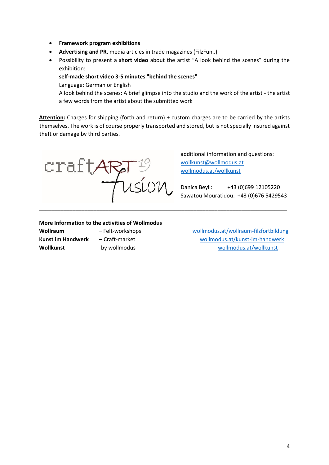- **Framework program exhibitions**
- **Advertising and PR**, media articles in trade magazines (FilzFun..)
- Possibility to present a **short video** about the artist "A look behind the scenes" during the exhibition:

**self-made short video 3-5 minutes "behind the scenes"**

Language: German or English

A look behind the scenes: A brief glimpse into the studio and the work of the artist - the artist a few words from the artist about the submitted work

**Attention:** Charges for shipping (forth and return) + custom charges are to be carried by the artists themselves. The work is of course properly transported and stored, but is not specially insured against theft or damage by third parties.

\_\_\_\_\_\_\_\_\_\_\_\_\_\_\_\_\_\_\_\_\_\_\_\_\_\_\_\_\_\_\_\_\_\_\_\_\_\_\_\_\_\_\_\_\_\_\_\_\_\_\_\_\_\_\_\_\_\_\_\_\_\_\_\_\_\_\_\_\_\_\_\_\_\_\_\_\_\_\_\_\_\_

 $\frac{\text{craft}}{7}$ 

additional information and questions: [wollkunst@wollmodus.at](mailto:wollkunst@wollmodus.at) [wollmodus.at/wollkunst](http://wollmodus.at/wollkunst)

Danica Beyll: +43 (0)699 12105220 Sawatou Mouratidou: +43 (0)676 5429543

#### **More Information to the activities of Wollmodus**

**Wollraum** – Felt-workshops [wollmodus.at/wollraum-filzfortbildung](http://wollmodus.at/wollraum-filzfortbildung/) **Kunst im Handwerk** – Craft-market [wollmodus.at/kunst-im-handwerk](http://wollmodus.at/wollraum-filzfortbildung/) **Wollkunst** - by wollmodus [wollmodus.at/wollkunst](http://wollmodus.at/wollkunst)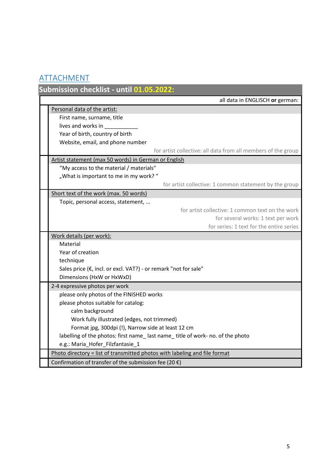# ATTACHMENT

|                                         | Submission checklist - until 01.05.2022:                                      |  |  |  |  |
|-----------------------------------------|-------------------------------------------------------------------------------|--|--|--|--|
|                                         | all data in ENGLISCH or german:                                               |  |  |  |  |
|                                         | Personal data of the artist:                                                  |  |  |  |  |
|                                         | First name, surname, title                                                    |  |  |  |  |
|                                         | lives and works in                                                            |  |  |  |  |
|                                         | Year of birth, country of birth                                               |  |  |  |  |
|                                         | Website, email, and phone number                                              |  |  |  |  |
|                                         | for artist collective: all data from all members of the group                 |  |  |  |  |
|                                         | Artist statement (max 50 words) in German or English                          |  |  |  |  |
| "My access to the material / materials" |                                                                               |  |  |  |  |
|                                         | "What is important to me in my work?"                                         |  |  |  |  |
|                                         | for artist collective: 1 common statement by the group                        |  |  |  |  |
|                                         | Short text of the work (max. 50 words)                                        |  |  |  |  |
| Topic, personal access, statement,      |                                                                               |  |  |  |  |
|                                         | for artist collective: 1 common text on the work                              |  |  |  |  |
|                                         | for several works: 1 text per work                                            |  |  |  |  |
|                                         | for series: 1 text for the entire series                                      |  |  |  |  |
|                                         | Work details (per work):                                                      |  |  |  |  |
|                                         | Material                                                                      |  |  |  |  |
|                                         | Year of creation                                                              |  |  |  |  |
|                                         | technique                                                                     |  |  |  |  |
|                                         | Sales price (€, incl. or excl. VAT?) - or remark "not for sale"               |  |  |  |  |
|                                         | Dimensions (HxW or HxWxD)                                                     |  |  |  |  |
|                                         | 2-4 expressive photos per work                                                |  |  |  |  |
|                                         | please only photos of the FINISHED works                                      |  |  |  |  |
|                                         | please photos suitable for catalog:                                           |  |  |  |  |
|                                         | calm background                                                               |  |  |  |  |
|                                         | Work fully illustrated (edges, not trimmed)                                   |  |  |  |  |
|                                         | Format jpg, 300dpi (!), Narrow side at least 12 cm                            |  |  |  |  |
|                                         | labelling of the photos: first name_last name_title of work- no. of the photo |  |  |  |  |
|                                         | e.g.: Maria_Hofer_Filzfantasie_1                                              |  |  |  |  |
|                                         | Photo directory = list of transmitted photos with labeling and file format    |  |  |  |  |
|                                         | Confirmation of transfer of the submission fee (20 $\xi$ )                    |  |  |  |  |